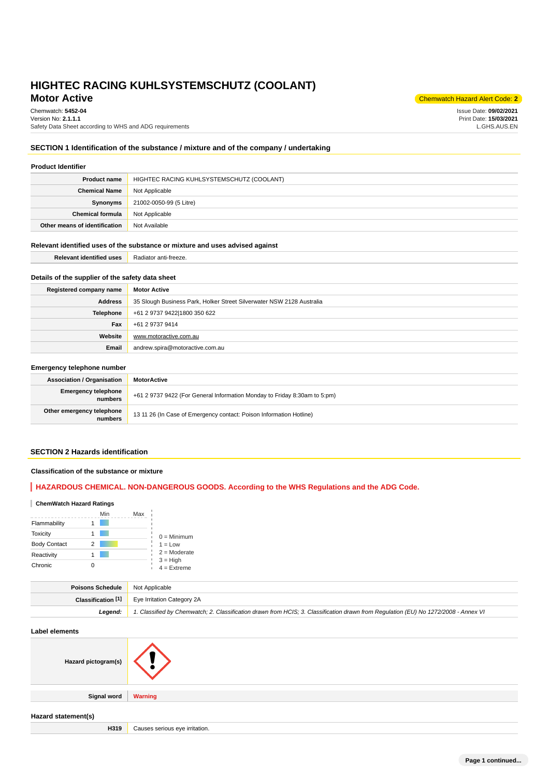# **Motor Active** Chemwatch Hazard Alert Code: 2<sup>2</sup> **HIGHTEC RACING KUHLSYSTEMSCHUTZ (COOLANT)**

# Chemwatch: **5452-04**

Version No: **2.1.1.1** Safety Data Sheet according to WHS and ADG requirements

Issue Date: **09/02/2021** Print Date: **15/03/2021** L.GHS.AUS.EN

# **SECTION 1 Identification of the substance / mixture and of the company / undertaking**

| <b>Product Identifier</b>     |                                           |  |  |  |
|-------------------------------|-------------------------------------------|--|--|--|
| <b>Product name</b>           | HIGHTEC RACING KUHLSYSTEMSCHUTZ (COOLANT) |  |  |  |
| <b>Chemical Name</b>          | Not Applicable                            |  |  |  |
| Synonyms                      | 21002-0050-99 (5 Litre)                   |  |  |  |
| <b>Chemical formula</b>       | Not Applicable                            |  |  |  |
| Other means of identification | Not Available                             |  |  |  |

# **Relevant identified uses of the substance or mixture and uses advised against**

| <b>Relevant identified uses</b> | Radiator anti-freeze. |
|---------------------------------|-----------------------|
|                                 |                       |

# **Details of the supplier of the safety data sheet**

| Registered company name | <b>Motor Active</b>                                                   |
|-------------------------|-----------------------------------------------------------------------|
| <b>Address</b>          | 35 Slough Business Park, Holker Street Silverwater NSW 2128 Australia |
| <b>Telephone</b>        | +61 2 9737 9422 1800 350 622                                          |
| Fax                     | +61 2 9737 9414                                                       |
| Website                 | www.motoractive.com.au                                                |
| Email                   | andrew.spira@motoractive.com.au                                       |

## **Emergency telephone number**

| <b>Association / Organisation</b>     | MotorActive                                                               |
|---------------------------------------|---------------------------------------------------------------------------|
| <b>Emergency telephone</b><br>numbers | +61 2 9737 9422 (For General Information Monday to Friday 8:30am to 5:pm) |
| Other emergency telephone<br>numbers  | 13 11 26 (In Case of Emergency contact: Poison Information Hotline)       |

# **SECTION 2 Hazards identification**

# **Classification of the substance or mixture**

# **HAZARDOUS CHEMICAL. NON-DANGEROUS GOODS. According to the WHS Regulations and the ADG Code.**

# **ChemWatch Hazard Ratings**

|                     |   | Min | Max |                                                            |
|---------------------|---|-----|-----|------------------------------------------------------------|
| Flammability        |   |     |     |                                                            |
| <b>Toxicity</b>     |   |     |     | $0 =$ Minimum                                              |
| <b>Body Contact</b> | 2 |     |     | $1 = Low$<br>$2 =$ Moderate<br>$3 = High$<br>$4 =$ Extreme |
| Reactivity          |   |     |     |                                                            |
| Chronic             |   |     |     |                                                            |

| <b>Poisons Schedule</b> Not Applicable |                                                                                                                                     |
|----------------------------------------|-------------------------------------------------------------------------------------------------------------------------------------|
|                                        | <b>Classification [1]</b> Eye Irritation Category 2A                                                                                |
| Leaend:                                | 1. Classified by Chemwatch; 2. Classification drawn from HCIS; 3. Classification drawn from Regulation (EU) No 1272/2008 - Annex VI |

# **Label elements Hazard pictogram(s) Signal word Warning Hazard statement(s) H319** Causes serious eye irritation.

**Page 1 continued...**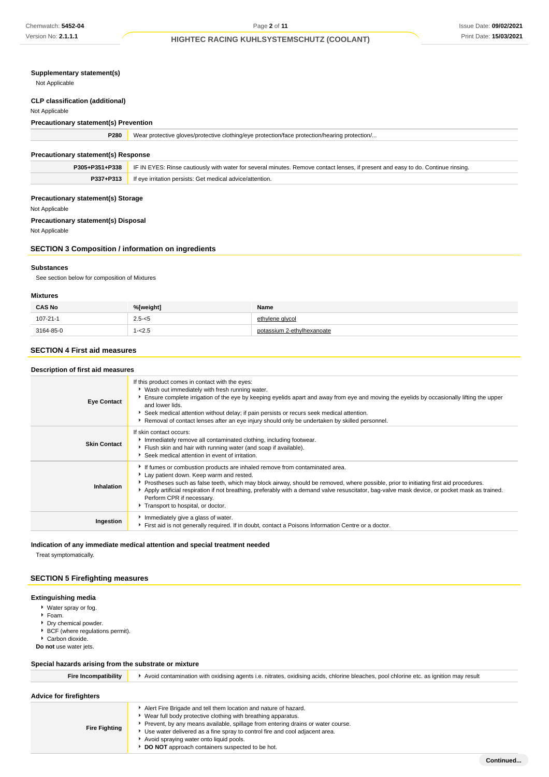# **Supplementary statement(s)**

Not Applicable

### **CLP classification (additional)**

Not Applicable

# **Precautionary statement(s) Prevention**

| P280                                       | Wear protective gloves/protective clothing/eye protection/face protection/hearing protection/                                    |  |  |
|--------------------------------------------|----------------------------------------------------------------------------------------------------------------------------------|--|--|
| <b>Precautionary statement(s) Response</b> |                                                                                                                                  |  |  |
| P305+P351+P338                             | IF IN EYES: Rinse cautiously with water for several minutes. Remove contact lenses, if present and easy to do. Continue rinsing. |  |  |
| P337+P313                                  | If eye irritation persists: Get medical advice/attention.                                                                        |  |  |

## **Precautionary statement(s) Storage**

Not Applicable

# **Precautionary statement(s) Disposal**

Not Applicable

# **SECTION 3 Composition / information on ingredients**

### **Substances**

See section below for composition of Mixtures

### **Mixtures**

| <b>CAS No</b>  | %[weight] | Name                       |
|----------------|-----------|----------------------------|
| $107 - 21 - 1$ | $2.5 - 5$ | ethylene alvcol            |
| 3164-85-0      | $1 - 2.5$ | potassium 2-ethylhexanoate |

# **SECTION 4 First aid measures**

| Description of first aid measures |                                                                                                                                                                                                                                                                                                                                                                                                                                                                                  |  |  |  |
|-----------------------------------|----------------------------------------------------------------------------------------------------------------------------------------------------------------------------------------------------------------------------------------------------------------------------------------------------------------------------------------------------------------------------------------------------------------------------------------------------------------------------------|--|--|--|
| <b>Eye Contact</b>                | If this product comes in contact with the eyes:<br>• Wash out immediately with fresh running water.<br>Ensure complete irrigation of the eye by keeping eyelids apart and away from eye and moving the eyelids by occasionally lifting the upper<br>and lower lids.<br>Seek medical attention without delay; if pain persists or recurs seek medical attention.<br>Removal of contact lenses after an eye injury should only be undertaken by skilled personnel.                 |  |  |  |
| <b>Skin Contact</b>               | If skin contact occurs:<br>Immediately remove all contaminated clothing, including footwear.<br>Flush skin and hair with running water (and soap if available).<br>Seek medical attention in event of irritation.                                                                                                                                                                                                                                                                |  |  |  |
| Inhalation                        | If fumes or combustion products are inhaled remove from contaminated area.<br>Lay patient down. Keep warm and rested.<br>Prostheses such as false teeth, which may block airway, should be removed, where possible, prior to initiating first aid procedures.<br>Apply artificial respiration if not breathing, preferably with a demand valve resuscitator, bag-valve mask device, or pocket mask as trained.<br>Perform CPR if necessary.<br>Transport to hospital, or doctor. |  |  |  |
| Ingestion                         | Immediately give a glass of water.<br>First aid is not generally required. If in doubt, contact a Poisons Information Centre or a doctor.                                                                                                                                                                                                                                                                                                                                        |  |  |  |

# **Indication of any immediate medical attention and special treatment needed**

Treat symptomatically.

# **SECTION 5 Firefighting measures**

### **Extinguishing media**

- Water spray or fog.
- Foam.
- Dry chemical powder.
- ▶ BCF (where regulations permit).
- Carbon dioxide.
- **Do not** use water jets.

# **Special hazards arising from the substrate or mixture**

| <b>Fire Incompatibility</b> | Avoid contamination with oxidising agents i.e. nitrates, oxidising acids, chlorine bleaches, pool chlorine etc. as ignition may result                                                                                                                                                                                                                                                            |  |  |  |
|-----------------------------|---------------------------------------------------------------------------------------------------------------------------------------------------------------------------------------------------------------------------------------------------------------------------------------------------------------------------------------------------------------------------------------------------|--|--|--|
| Advice for firefighters     |                                                                                                                                                                                                                                                                                                                                                                                                   |  |  |  |
| <b>Fire Fighting</b>        | Alert Fire Brigade and tell them location and nature of hazard.<br>▶ Wear full body protective clothing with breathing apparatus.<br>Prevent, by any means available, spillage from entering drains or water course.<br>Use water delivered as a fine spray to control fire and cool adjacent area.<br>Avoid spraying water onto liquid pools.<br>DO NOT approach containers suspected to be hot. |  |  |  |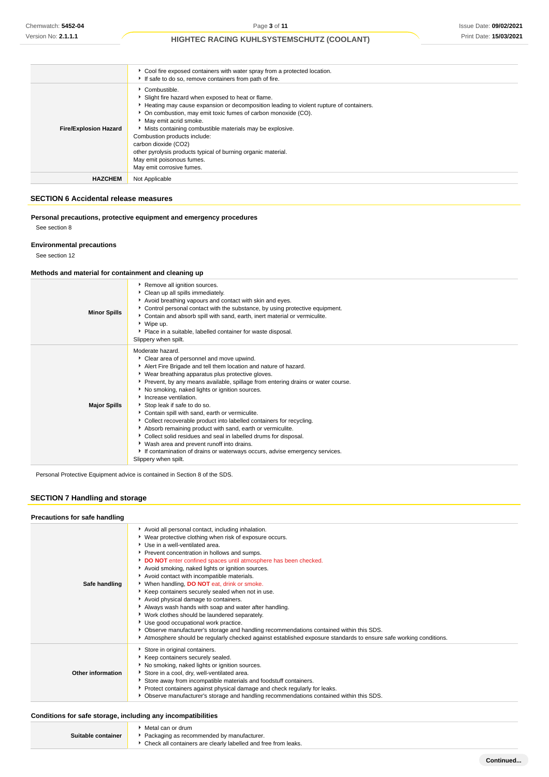|                              | • Cool fire exposed containers with water spray from a protected location.<br>If safe to do so, remove containers from path of fire.                                                                                                                                                                                                                                                                                                                                                                  |
|------------------------------|-------------------------------------------------------------------------------------------------------------------------------------------------------------------------------------------------------------------------------------------------------------------------------------------------------------------------------------------------------------------------------------------------------------------------------------------------------------------------------------------------------|
| <b>Fire/Explosion Hazard</b> | Combustible.<br>Slight fire hazard when exposed to heat or flame.<br>Heating may cause expansion or decomposition leading to violent rupture of containers.<br>• On combustion, may emit toxic fumes of carbon monoxide (CO).<br>May emit acrid smoke.<br>Mists containing combustible materials may be explosive.<br>Combustion products include:<br>carbon dioxide (CO2)<br>other pyrolysis products typical of burning organic material.<br>May emit poisonous fumes.<br>May emit corrosive fumes. |
| <b>HAZCHEM</b>               | Not Applicable                                                                                                                                                                                                                                                                                                                                                                                                                                                                                        |

# **SECTION 6 Accidental release measures**

|               | Personal precautions, protective equipment and emergency procedures |  |
|---------------|---------------------------------------------------------------------|--|
| See section 8 |                                                                     |  |

## **Environmental precautions**

See section 12

# **Methods and material for containment and cleaning up**

| <b>Minor Spills</b> | Remove all ignition sources.<br>Clean up all spills immediately.<br>Avoid breathing vapours and contact with skin and eyes.<br>• Control personal contact with the substance, by using protective equipment.<br>Contain and absorb spill with sand, earth, inert material or vermiculite.<br>▶ Wipe up.<br>• Place in a suitable, labelled container for waste disposal.<br>Slippery when spilt.                                                                                                                                                                                                                                                                                                                                                                                                |
|---------------------|-------------------------------------------------------------------------------------------------------------------------------------------------------------------------------------------------------------------------------------------------------------------------------------------------------------------------------------------------------------------------------------------------------------------------------------------------------------------------------------------------------------------------------------------------------------------------------------------------------------------------------------------------------------------------------------------------------------------------------------------------------------------------------------------------|
| <b>Major Spills</b> | Moderate hazard.<br>Clear area of personnel and move upwind.<br>Alert Fire Brigade and tell them location and nature of hazard.<br>▶ Wear breathing apparatus plus protective gloves.<br>Prevent, by any means available, spillage from entering drains or water course.<br>No smoking, naked lights or ignition sources.<br>Increase ventilation.<br>Stop leak if safe to do so.<br>Contain spill with sand, earth or vermiculite.<br>Collect recoverable product into labelled containers for recycling.<br>Absorb remaining product with sand, earth or vermiculite.<br>Collect solid residues and seal in labelled drums for disposal.<br>▶ Wash area and prevent runoff into drains.<br>If contamination of drains or waterways occurs, advise emergency services.<br>Slippery when spilt. |

Personal Protective Equipment advice is contained in Section 8 of the SDS.

# **SECTION 7 Handling and storage**

| Precautions for safe handling |                                                                                                                                                                                                                                                                                                                                                                                                                                                                                                                                                                                                                                                                                                                                                                                                                                                                                      |
|-------------------------------|--------------------------------------------------------------------------------------------------------------------------------------------------------------------------------------------------------------------------------------------------------------------------------------------------------------------------------------------------------------------------------------------------------------------------------------------------------------------------------------------------------------------------------------------------------------------------------------------------------------------------------------------------------------------------------------------------------------------------------------------------------------------------------------------------------------------------------------------------------------------------------------|
| Safe handling                 | Avoid all personal contact, including inhalation.<br>▶ Wear protective clothing when risk of exposure occurs.<br>▶ Use in a well-ventilated area.<br>Prevent concentration in hollows and sumps.<br>DO NOT enter confined spaces until atmosphere has been checked.<br>Avoid smoking, naked lights or ignition sources.<br>Avoid contact with incompatible materials.<br>When handling, DO NOT eat, drink or smoke.<br>▶ Keep containers securely sealed when not in use.<br>Avoid physical damage to containers.<br>Always wash hands with soap and water after handling.<br>▶ Work clothes should be laundered separately.<br>Use good occupational work practice.<br>▶ Observe manufacturer's storage and handling recommendations contained within this SDS.<br>Atmosphere should be regularly checked against established exposure standards to ensure safe working conditions. |
| Other information             | Store in original containers.<br>Keep containers securely sealed.<br>No smoking, naked lights or ignition sources.<br>Store in a cool, dry, well-ventilated area.<br>Store away from incompatible materials and foodstuff containers.<br>Protect containers against physical damage and check regularly for leaks.<br>▶ Observe manufacturer's storage and handling recommendations contained within this SDS.                                                                                                                                                                                                                                                                                                                                                                                                                                                                       |

# **Conditions for safe storage, including any incompatibilities**

|                    | ▶ Metal can or drum                                              |
|--------------------|------------------------------------------------------------------|
| Suitable container | ▶ Packaging as recommended by manufacturer.                      |
|                    | • Check all containers are clearly labelled and free from leaks. |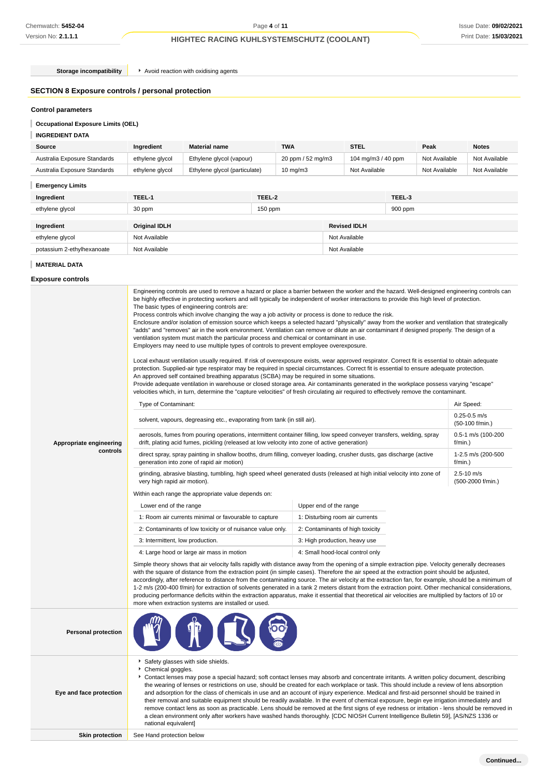**Storage incompatibility A**void reaction with oxidising agents

# **SECTION 8 Exposure controls / personal protection**

# **Control parameters**

# **Occupational Exposure Limits (OEL)**

## **INGREDIENT DATA**

| Source                       | Ingredient      | <b>Material name</b>          |           | <b>TWA</b>        | <b>STEL</b>        |         | Peak          | <b>Notes</b>  |
|------------------------------|-----------------|-------------------------------|-----------|-------------------|--------------------|---------|---------------|---------------|
| Australia Exposure Standards | ethylene glycol | Ethylene glycol (vapour)      |           | 20 ppm / 52 mg/m3 | 104 mg/m3 / 40 ppm |         | Not Available | Not Available |
| Australia Exposure Standards | ethylene glycol | Ethylene glycol (particulate) |           | $10 \text{ mg/m}$ | Not Available      |         | Not Available | Not Available |
| <b>Emergency Limits</b>      |                 |                               |           |                   |                    |         |               |               |
| Ingredient                   | TEEL-1          |                               | TEEL-2    |                   |                    | TEEL-3  |               |               |
| ethylene glycol              | 30 ppm          |                               | $150$ ppm |                   |                    | 900 ppm |               |               |

| Ingredient                 | Original IDLH | <b>Revised IDLH</b> |
|----------------------------|---------------|---------------------|
| ethylene glycol            | Not Available | Not Available       |
| potassium 2-ethylhexanoate | Not Available | Not Available       |

## **MATERIAL DATA**

## **Exposure controls**

| Appropriate engineering<br>controls | Process controls which involve changing the way a job activity or process is done to reduce the risk.<br>Enclosure and/or isolation of emission source which keeps a selected hazard "physically" away from the worker and ventilation that strategically<br>"adds" and "removes" air in the work environment. Ventilation can remove or dilute an air contaminant if designed properly. The design of a<br>ventilation system must match the particular process and chemical or contaminant in use.<br>Employers may need to use multiple types of controls to prevent employee overexposure.<br>Local exhaust ventilation usually required. If risk of overexposure exists, wear approved respirator. Correct fit is essential to obtain adequate<br>protection. Supplied-air type respirator may be required in special circumstances. Correct fit is essential to ensure adequate protection.<br>An approved self contained breathing apparatus (SCBA) may be required in some situations.<br>Provide adequate ventilation in warehouse or closed storage area. Air contaminants generated in the workplace possess varying "escape"<br>velocities which, in turn, determine the "capture velocities" of fresh circulating air required to effectively remove the contaminant.<br>Type of Contaminant:<br>Air Speed:<br>$0.25 - 0.5$ m/s<br>solvent, vapours, degreasing etc., evaporating from tank (in still air).<br>(50-100 f/min.)<br>0.5-1 m/s (100-200<br>aerosols, fumes from pouring operations, intermittent container filling, low speed conveyer transfers, welding, spray<br>drift, plating acid fumes, pickling (released at low velocity into zone of active generation)<br>f/min.)<br>direct spray, spray painting in shallow booths, drum filling, conveyer loading, crusher dusts, gas discharge (active<br>1-2.5 m/s (200-500<br>generation into zone of rapid air motion)<br>f/min.)<br>grinding, abrasive blasting, tumbling, high speed wheel generated dusts (released at high initial velocity into zone of<br>$2.5 - 10$ m/s<br>very high rapid air motion).<br>(500-2000 f/min.)<br>Within each range the appropriate value depends on:<br>Upper end of the range<br>Lower end of the range<br>1: Room air currents minimal or favourable to capture<br>1: Disturbing room air currents<br>2: Contaminants of low toxicity or of nuisance value only.<br>2: Contaminants of high toxicity<br>3: Intermittent, low production.<br>3: High production, heavy use<br>4: Small hood-local control only<br>4: Large hood or large air mass in motion<br>Simple theory shows that air velocity falls rapidly with distance away from the opening of a simple extraction pipe. Velocity generally decreases<br>with the square of distance from the extraction point (in simple cases). Therefore the air speed at the extraction point should be adjusted,<br>accordingly, after reference to distance from the contaminating source. The air velocity at the extraction fan, for example, should be a minimum of<br>1-2 m/s (200-400 f/min) for extraction of solvents generated in a tank 2 meters distant from the extraction point. Other mechanical considerations,<br>producing performance deficits within the extraction apparatus, make it essential that theoretical air velocities are multiplied by factors of 10 or<br>more when extraction systems are installed or used. |  |  |  |
|-------------------------------------|-----------------------------------------------------------------------------------------------------------------------------------------------------------------------------------------------------------------------------------------------------------------------------------------------------------------------------------------------------------------------------------------------------------------------------------------------------------------------------------------------------------------------------------------------------------------------------------------------------------------------------------------------------------------------------------------------------------------------------------------------------------------------------------------------------------------------------------------------------------------------------------------------------------------------------------------------------------------------------------------------------------------------------------------------------------------------------------------------------------------------------------------------------------------------------------------------------------------------------------------------------------------------------------------------------------------------------------------------------------------------------------------------------------------------------------------------------------------------------------------------------------------------------------------------------------------------------------------------------------------------------------------------------------------------------------------------------------------------------------------------------------------------------------------------------------------------------------------------------------------------------------------------------------------------------------------------------------------------------------------------------------------------------------------------------------------------------------------------------------------------------------------------------------------------------------------------------------------------------------------------------------------------------------------------------------------------------------------------------------------------------------------------------------------------------------------------------------------------------------------------------------------------------------------------------------------------------------------------------------------------------------------------------------------------------------------------------------------------------------------------------------------------------------------------------------------------------------------------------------------------------------------------------------------------------------------------------------------------------------------------------------------------------------------------------------------------------------------------------------------------------------------------------------------------------------------------------------------------------------------------------------------------------------------------------------------------------------------------------------------------------------------------------------------|--|--|--|
| <b>Personal protection</b>          |                                                                                                                                                                                                                                                                                                                                                                                                                                                                                                                                                                                                                                                                                                                                                                                                                                                                                                                                                                                                                                                                                                                                                                                                                                                                                                                                                                                                                                                                                                                                                                                                                                                                                                                                                                                                                                                                                                                                                                                                                                                                                                                                                                                                                                                                                                                                                                                                                                                                                                                                                                                                                                                                                                                                                                                                                                                                                                                                                                                                                                                                                                                                                                                                                                                                                                                                                                                                                 |  |  |  |
| Eye and face protection             | Safety glasses with side shields.<br>۲<br>Chemical goggles.<br>Contact lenses may pose a special hazard; soft contact lenses may absorb and concentrate irritants. A written policy document, describing<br>٠<br>the wearing of lenses or restrictions on use, should be created for each workplace or task. This should include a review of lens absorption<br>and adsorption for the class of chemicals in use and an account of injury experience. Medical and first-aid personnel should be trained in<br>their removal and suitable equipment should be readily available. In the event of chemical exposure, begin eye irrigation immediately and<br>remove contact lens as soon as practicable. Lens should be removed at the first signs of eye redness or irritation - lens should be removed in<br>a clean environment only after workers have washed hands thoroughly. [CDC NIOSH Current Intelligence Bulletin 59], [AS/NZS 1336 or<br>national equivalent]                                                                                                                                                                                                                                                                                                                                                                                                                                                                                                                                                                                                                                                                                                                                                                                                                                                                                                                                                                                                                                                                                                                                                                                                                                                                                                                                                                                                                                                                                                                                                                                                                                                                                                                                                                                                                                                                                                                                                                                                                                                                                                                                                                                                                                                                                                                                                                                                                                         |  |  |  |
| <b>Skin protection</b>              | See Hand protection below                                                                                                                                                                                                                                                                                                                                                                                                                                                                                                                                                                                                                                                                                                                                                                                                                                                                                                                                                                                                                                                                                                                                                                                                                                                                                                                                                                                                                                                                                                                                                                                                                                                                                                                                                                                                                                                                                                                                                                                                                                                                                                                                                                                                                                                                                                                                                                                                                                                                                                                                                                                                                                                                                                                                                                                                                                                                                                                                                                                                                                                                                                                                                                                                                                                                                                                                                                                       |  |  |  |
|                                     |                                                                                                                                                                                                                                                                                                                                                                                                                                                                                                                                                                                                                                                                                                                                                                                                                                                                                                                                                                                                                                                                                                                                                                                                                                                                                                                                                                                                                                                                                                                                                                                                                                                                                                                                                                                                                                                                                                                                                                                                                                                                                                                                                                                                                                                                                                                                                                                                                                                                                                                                                                                                                                                                                                                                                                                                                                                                                                                                                                                                                                                                                                                                                                                                                                                                                                                                                                                                                 |  |  |  |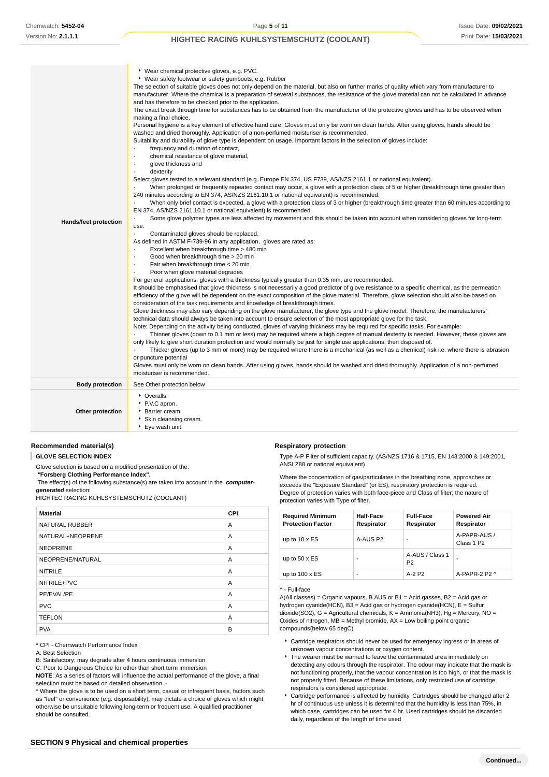| Hands/feet protection  | ▶ Wear chemical protective gloves, e.g. PVC.<br>• Wear safety footwear or safety gumboots, e.g. Rubber<br>The selection of suitable gloves does not only depend on the material, but also on further marks of quality which vary from manufacturer to<br>manufacturer. Where the chemical is a preparation of several substances, the resistance of the glove material can not be calculated in advance<br>and has therefore to be checked prior to the application.<br>The exact break through time for substances has to be obtained from the manufacturer of the protective gloves and has to be observed when<br>making a final choice.<br>Personal hygiene is a key element of effective hand care. Gloves must only be worn on clean hands. After using gloves, hands should be<br>washed and dried thoroughly. Application of a non-perfumed moisturiser is recommended.<br>Suitability and durability of glove type is dependent on usage. Important factors in the selection of gloves include:<br>frequency and duration of contact,<br>$\blacksquare$<br>chemical resistance of glove material,<br>glove thickness and<br>$\cdot$<br>dexterity<br>Select gloves tested to a relevant standard (e.g. Europe EN 374, US F739, AS/NZS 2161.1 or national equivalent).<br>When prolonged or frequently repeated contact may occur, a glove with a protection class of 5 or higher (breakthrough time greater than<br>240 minutes according to EN 374, AS/NZS 2161.10.1 or national equivalent) is recommended.<br>When only brief contact is expected, a glove with a protection class of 3 or higher (breakthrough time greater than 60 minutes according to<br>EN 374, AS/NZS 2161.10.1 or national equivalent) is recommended.<br>Some glove polymer types are less affected by movement and this should be taken into account when considering gloves for long-term<br>use.<br>Contaminated gloves should be replaced.<br>$\cdot$<br>As defined in ASTM F-739-96 in any application, gloves are rated as:<br>Excellent when breakthrough time > 480 min<br>Good when breakthrough time > 20 min<br>$\cdot$<br>Fair when breakthrough time < 20 min<br>Poor when glove material degrades<br>For general applications, gloves with a thickness typically greater than 0.35 mm, are recommended.<br>It should be emphasised that glove thickness is not necessarily a good predictor of glove resistance to a specific chemical, as the permeation<br>efficiency of the glove will be dependent on the exact composition of the glove material. Therefore, glove selection should also be based on<br>consideration of the task requirements and knowledge of breakthrough times.<br>Glove thickness may also vary depending on the glove manufacturer, the glove type and the glove model. Therefore, the manufacturers'<br>technical data should always be taken into account to ensure selection of the most appropriate glove for the task.<br>Note: Depending on the activity being conducted, gloves of varying thickness may be required for specific tasks. For example:<br>Thinner gloves (down to 0.1 mm or less) may be required where a high degree of manual dexterity is needed. However, these gloves are<br>only likely to give short duration protection and would normally be just for single use applications, then disposed of.<br>Thicker gloves (up to 3 mm or more) may be required where there is a mechanical (as well as a chemical) risk i.e. where there is abrasion<br>or puncture potential<br>Gloves must only be worn on clean hands. After using gloves, hands should be washed and dried thoroughly. Application of a non-perfumed<br>moisturiser is recommended. |
|------------------------|-------------------------------------------------------------------------------------------------------------------------------------------------------------------------------------------------------------------------------------------------------------------------------------------------------------------------------------------------------------------------------------------------------------------------------------------------------------------------------------------------------------------------------------------------------------------------------------------------------------------------------------------------------------------------------------------------------------------------------------------------------------------------------------------------------------------------------------------------------------------------------------------------------------------------------------------------------------------------------------------------------------------------------------------------------------------------------------------------------------------------------------------------------------------------------------------------------------------------------------------------------------------------------------------------------------------------------------------------------------------------------------------------------------------------------------------------------------------------------------------------------------------------------------------------------------------------------------------------------------------------------------------------------------------------------------------------------------------------------------------------------------------------------------------------------------------------------------------------------------------------------------------------------------------------------------------------------------------------------------------------------------------------------------------------------------------------------------------------------------------------------------------------------------------------------------------------------------------------------------------------------------------------------------------------------------------------------------------------------------------------------------------------------------------------------------------------------------------------------------------------------------------------------------------------------------------------------------------------------------------------------------------------------------------------------------------------------------------------------------------------------------------------------------------------------------------------------------------------------------------------------------------------------------------------------------------------------------------------------------------------------------------------------------------------------------------------------------------------------------------------------------------------------------------------------------------------------------------------------------------------------------------------------------------------------------------------------------------------------------------------------------------------------------------------------------------------------------------------------------------------------------------------------------------------------------------------------------------------------------------------------------------------------------------------------------------------------------|
| <b>Body protection</b> | See Other protection below                                                                                                                                                                                                                                                                                                                                                                                                                                                                                                                                                                                                                                                                                                                                                                                                                                                                                                                                                                                                                                                                                                                                                                                                                                                                                                                                                                                                                                                                                                                                                                                                                                                                                                                                                                                                                                                                                                                                                                                                                                                                                                                                                                                                                                                                                                                                                                                                                                                                                                                                                                                                                                                                                                                                                                                                                                                                                                                                                                                                                                                                                                                                                                                                                                                                                                                                                                                                                                                                                                                                                                                                                                                                                  |
|                        | • Overalls.                                                                                                                                                                                                                                                                                                                                                                                                                                                                                                                                                                                                                                                                                                                                                                                                                                                                                                                                                                                                                                                                                                                                                                                                                                                                                                                                                                                                                                                                                                                                                                                                                                                                                                                                                                                                                                                                                                                                                                                                                                                                                                                                                                                                                                                                                                                                                                                                                                                                                                                                                                                                                                                                                                                                                                                                                                                                                                                                                                                                                                                                                                                                                                                                                                                                                                                                                                                                                                                                                                                                                                                                                                                                                                 |
| Other protection       | P.V.C apron.<br>Barrier cream.<br>▶ Skin cleansing cream.<br>▶ Eye wash unit.                                                                                                                                                                                                                                                                                                                                                                                                                                                                                                                                                                                                                                                                                                                                                                                                                                                                                                                                                                                                                                                                                                                                                                                                                                                                                                                                                                                                                                                                                                                                                                                                                                                                                                                                                                                                                                                                                                                                                                                                                                                                                                                                                                                                                                                                                                                                                                                                                                                                                                                                                                                                                                                                                                                                                                                                                                                                                                                                                                                                                                                                                                                                                                                                                                                                                                                                                                                                                                                                                                                                                                                                                               |

### **Recommended material(s)**

**GLOVE SELECTION INDEX**

Glove selection is based on a modified presentation of the:

 **"Forsberg Clothing Performance Index".**

 The effect(s) of the following substance(s) are taken into account in the **computergenerated** selection:

HIGHTEC RACING KUHLSYSTEMSCHUTZ (COOLANT)

| <b>Material</b>  | <b>CPI</b> |
|------------------|------------|
| NATURAL RUBBER   | A          |
| NATURAL+NEOPRENE | A          |
| <b>NEOPRENE</b>  | A          |
| NEOPRENE/NATURAL | A          |
| <b>NITRILE</b>   | A          |
| NITRILE+PVC      | A          |
| PE/EVAL/PE       | A          |
| <b>PVC</b>       | A          |
| <b>TEFLON</b>    | A          |
| <b>PVA</b>       | B          |

\* CPI - Chemwatch Performance Index

A: Best Selection

B: Satisfactory; may degrade after 4 hours continuous immersion

C: Poor to Dangerous Choice for other than short term immersion

**NOTE**: As a series of factors will influence the actual performance of the glove, a final selection must be based on detailed observation. -

\* Where the glove is to be used on a short term, casual or infrequent basis, factors such as "feel" or convenience (e.g. disposability), may dictate a choice of gloves which might otherwise be unsuitable following long-term or frequent use. A qualified practitioner should be consulted.

# ANSI Z88 or national equivalent)

**Respiratory protection**

Where the concentration of gas/particulates in the breathing zone, approaches or exceeds the "Exposure Standard" (or ES), respiratory protection is required. Degree of protection varies with both face-piece and Class of filter; the nature of protection varies with Type of filter.

Type A-P Filter of sufficient capacity. (AS/NZS 1716 & 1715, EN 143:2000 & 149:2001,

#### **Required Minimum Protection Factor Half-Face Respirator Full-Face Respirator Powered Air Respirator** up to  $10 \times ES$   $A-AUS P2$ A-PAPR-AUS / Class 1 P2 up to  $50 \times ES$ A-AUS / Class 1 P2 up to 100 x ES  $\begin{array}{|c|c|c|c|c|c|}\n\hline\n& & A-2 & P2 \\
\hline\n& & A-PAPR-2 & P2 \end{array}$

### ^ - Full-face

A(All classes) = Organic vapours, B AUS or B1 = Acid gasses, B2 = Acid gas or hydrogen cyanide(HCN), B3 = Acid gas or hydrogen cyanide(HCN), E = Sulfur dioxide(SO2), G = Agricultural chemicals, K = Ammonia(NH3), Hg = Mercury, NO = Oxides of nitrogen,  $MB =$  Methyl bromide,  $AX =$  Low boiling point organic compounds(below 65 degC)

- Cartridge respirators should never be used for emergency ingress or in areas of unknown vapour concentrations or oxygen content.
- The wearer must be warned to leave the contaminated area immediately on detecting any odours through the respirator. The odour may indicate that the mask is not functioning properly, that the vapour concentration is too high, or that the mask is not properly fitted. Because of these limitations, only restricted use of cartridge respirators is considered appropriate.
- Cartridge performance is affected by humidity. Cartridges should be changed after 2 hr of continuous use unless it is determined that the humidity is less than 75%, in which case, cartridges can be used for 4 hr. Used cartridges should be discarded daily, regardless of the length of time used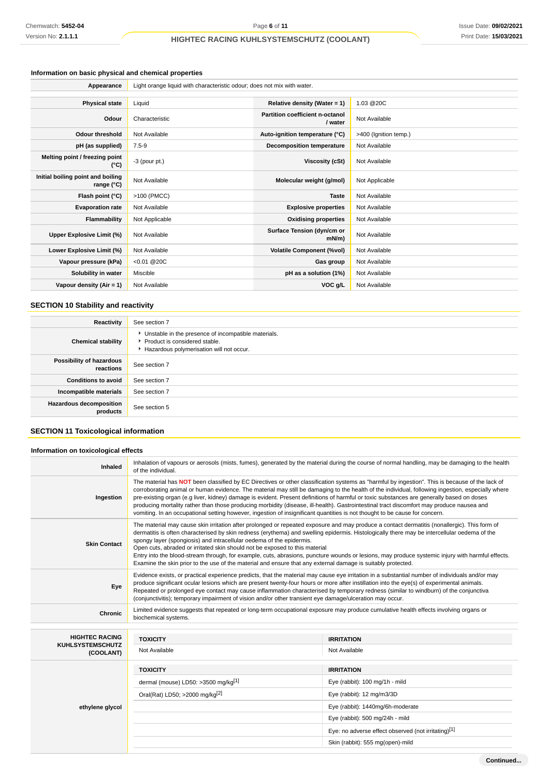# **Information on basic physical and chemical properties**

| Appearance                                      | Light orange liquid with characteristic odour; does not mix with water. |                                            |                       |  |  |
|-------------------------------------------------|-------------------------------------------------------------------------|--------------------------------------------|-----------------------|--|--|
|                                                 |                                                                         |                                            |                       |  |  |
| <b>Physical state</b>                           | Liquid                                                                  | Relative density (Water = $1$ )            | 1.03 @20C             |  |  |
| Odour                                           | Characteristic                                                          | Partition coefficient n-octanol<br>/ water | Not Available         |  |  |
| <b>Odour threshold</b>                          | Not Available                                                           | Auto-ignition temperature (°C)             | >400 (Ignition temp.) |  |  |
| pH (as supplied)                                | $7.5 - 9$                                                               | <b>Decomposition temperature</b>           | Not Available         |  |  |
| Melting point / freezing point<br>(°C)          | $-3$ (pour pt.)                                                         | Viscosity (cSt)                            | Not Available         |  |  |
| Initial boiling point and boiling<br>range (°C) | Not Available                                                           | Molecular weight (g/mol)                   | Not Applicable        |  |  |
| Flash point (°C)                                | >100 (PMCC)                                                             | <b>Taste</b>                               | Not Available         |  |  |
| <b>Evaporation rate</b>                         | Not Available                                                           | <b>Explosive properties</b>                | Not Available         |  |  |
| Flammability                                    | Not Applicable                                                          | <b>Oxidising properties</b>                | Not Available         |  |  |
| Upper Explosive Limit (%)                       | Not Available                                                           | Surface Tension (dyn/cm or<br>mN/m         | Not Available         |  |  |
| Lower Explosive Limit (%)                       | Not Available                                                           | <b>Volatile Component (%vol)</b>           | Not Available         |  |  |
| Vapour pressure (kPa)                           | $< 0.01$ @ 20C                                                          | Gas group                                  | Not Available         |  |  |
| Solubility in water                             | Miscible                                                                | pH as a solution (1%)                      | Not Available         |  |  |
| Vapour density $(Air = 1)$                      | Not Available                                                           | VOC g/L                                    | Not Available         |  |  |

# **SECTION 10 Stability and reactivity**

| Reactivity                                 | See section 7                                                                                                                      |
|--------------------------------------------|------------------------------------------------------------------------------------------------------------------------------------|
| <b>Chemical stability</b>                  | • Unstable in the presence of incompatible materials.<br>Product is considered stable.<br>Hazardous polymerisation will not occur. |
| Possibility of hazardous<br>reactions      | See section 7                                                                                                                      |
| <b>Conditions to avoid</b>                 | See section 7                                                                                                                      |
| Incompatible materials                     | See section 7                                                                                                                      |
| <b>Hazardous decomposition</b><br>products | See section 5                                                                                                                      |

# **SECTION 11 Toxicological information**

## **Information on toxicological effects**

| Inhaled                              | Inhalation of vapours or aerosols (mists, fumes), generated by the material during the course of normal handling, may be damaging to the health<br>of the individual.                                                                                                                                                                                                                                                                                                                                                                                                                                                                                                                                                         |                                                     |  |  |
|--------------------------------------|-------------------------------------------------------------------------------------------------------------------------------------------------------------------------------------------------------------------------------------------------------------------------------------------------------------------------------------------------------------------------------------------------------------------------------------------------------------------------------------------------------------------------------------------------------------------------------------------------------------------------------------------------------------------------------------------------------------------------------|-----------------------------------------------------|--|--|
| Ingestion                            | The material has NOT been classified by EC Directives or other classification systems as "harmful by ingestion". This is because of the lack of<br>corroborating animal or human evidence. The material may still be damaging to the health of the individual, following ingestion, especially where<br>pre-existing organ (e.g liver, kidney) damage is evident. Present definitions of harmful or toxic substances are generally based on doses<br>producing mortality rather than those producing morbidity (disease, ill-health). Gastrointestinal tract discomfort may produce nausea and<br>vomiting. In an occupational setting however, ingestion of insignificant quantities is not thought to be cause for concern. |                                                     |  |  |
| <b>Skin Contact</b>                  | The material may cause skin irritation after prolonged or repeated exposure and may produce a contact dermatitis (nonallergic). This form of<br>dermatitis is often characterised by skin redness (erythema) and swelling epidermis. Histologically there may be intercellular oedema of the<br>spongy layer (spongiosis) and intracellular oedema of the epidermis.<br>Open cuts, abraded or irritated skin should not be exposed to this material<br>Entry into the blood-stream through, for example, cuts, abrasions, puncture wounds or lesions, may produce systemic injury with harmful effects.<br>Examine the skin prior to the use of the material and ensure that any external damage is suitably protected.       |                                                     |  |  |
| Eye                                  | Evidence exists, or practical experience predicts, that the material may cause eye irritation in a substantial number of individuals and/or may<br>produce significant ocular lesions which are present twenty-four hours or more after instillation into the eye(s) of experimental animals.<br>Repeated or prolonged eye contact may cause inflammation characterised by temporary redness (similar to windburn) of the conjunctiva<br>(conjunctivitis); temporary impairment of vision and/or other transient eye damage/ulceration may occur.                                                                                                                                                                             |                                                     |  |  |
| <b>Chronic</b>                       | Limited evidence suggests that repeated or long-term occupational exposure may produce cumulative health effects involving organs or<br>biochemical systems.                                                                                                                                                                                                                                                                                                                                                                                                                                                                                                                                                                  |                                                     |  |  |
| <b>HIGHTEC RACING</b>                | <b>TOXICITY</b><br><b>IRRITATION</b>                                                                                                                                                                                                                                                                                                                                                                                                                                                                                                                                                                                                                                                                                          |                                                     |  |  |
| <b>KUHLSYSTEMSCHUTZ</b><br>(COOLANT) | Not Available                                                                                                                                                                                                                                                                                                                                                                                                                                                                                                                                                                                                                                                                                                                 | Not Available                                       |  |  |
|                                      | <b>TOXICITY</b>                                                                                                                                                                                                                                                                                                                                                                                                                                                                                                                                                                                                                                                                                                               | <b>IRRITATION</b>                                   |  |  |
|                                      | dermal (mouse) LD50: $>3500$ mg/kg <sup>[1]</sup>                                                                                                                                                                                                                                                                                                                                                                                                                                                                                                                                                                                                                                                                             | Eye (rabbit): 100 mg/1h - mild                      |  |  |
|                                      | Oral(Rat) LD50; >2000 mg/kg <sup>[2]</sup>                                                                                                                                                                                                                                                                                                                                                                                                                                                                                                                                                                                                                                                                                    | Eye (rabbit): 12 mg/m3/3D                           |  |  |
| ethylene glycol                      |                                                                                                                                                                                                                                                                                                                                                                                                                                                                                                                                                                                                                                                                                                                               | Eye (rabbit): 1440mg/6h-moderate                    |  |  |
|                                      |                                                                                                                                                                                                                                                                                                                                                                                                                                                                                                                                                                                                                                                                                                                               | Eye (rabbit): 500 mg/24h - mild                     |  |  |
|                                      |                                                                                                                                                                                                                                                                                                                                                                                                                                                                                                                                                                                                                                                                                                                               | Eye: no adverse effect observed (not irritating)[1] |  |  |
|                                      | Skin (rabbit): 555 mg(open)-mild                                                                                                                                                                                                                                                                                                                                                                                                                                                                                                                                                                                                                                                                                              |                                                     |  |  |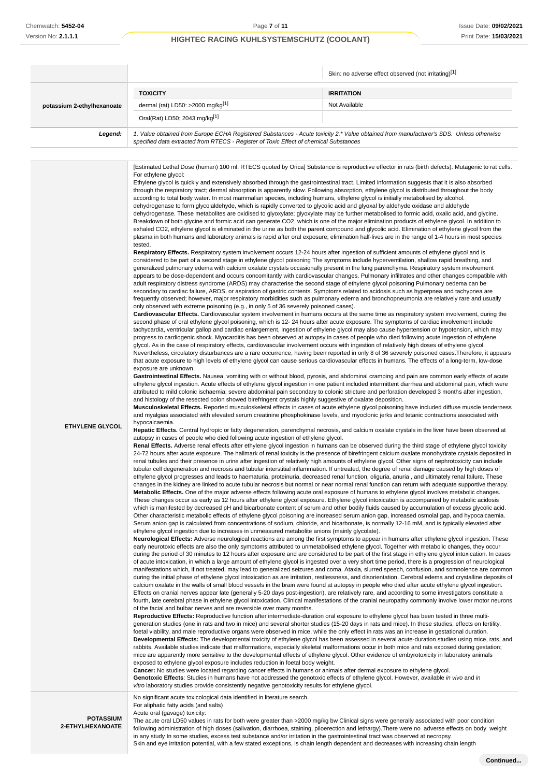|                            |                                                                                                                                                                                                                                                                                                                                                                                                                                                                                                                                                                                                                                                                                                                                                                                                                                                                                                                                                                                                                                                                                                                                                                                                                                                                                                                                                                                                                                                                                                                                                                                                                                                                                                                                                                                                                                                                                                                                                                                                                                                                                                                                                                                                                                                                                                                                                                                                                                                                                                                                                                                                                                                                                                                                                                                                                                                                                                                                                                                                                                                                                                                                                                                                                                                                                                                                                                                                                                                                                                                                                                                                                                                                                                                                                                                                                                                                                                                                                                                                                                                                                                                                                                                                                                                                                                                                                                                                                                                                                                                                                                                                                                                                                                                                                                                                                                                                                                                                                                                                                                                                                                                                                                                                                                                                                                                                                                                                                                                                                                                                                                                                                                                                                                                                                                                                                                                                                                                                                                                                                                                                                                                                                                                                                                                                                                 | Skin: no adverse effect observed (not irritating)[1]                                                                                                                                                                                                                                                                                                                                                                                                                                                                                                                                                                                                                                                                                                                                                                                                                                                                                                                                                                                                                                                                                                                                                                                                                                                                                                                                                                                                                                                                                                                                                                                                                                                                                                                                                                                                                                                                                                                                                                                                                                                                                                                                                                                                                                                                                                                                                                                                                                                                                                                                                                                                                                                                                                                                                                                                                                                                                                                                                                                                            |  |  |
|----------------------------|-------------------------------------------------------------------------------------------------------------------------------------------------------------------------------------------------------------------------------------------------------------------------------------------------------------------------------------------------------------------------------------------------------------------------------------------------------------------------------------------------------------------------------------------------------------------------------------------------------------------------------------------------------------------------------------------------------------------------------------------------------------------------------------------------------------------------------------------------------------------------------------------------------------------------------------------------------------------------------------------------------------------------------------------------------------------------------------------------------------------------------------------------------------------------------------------------------------------------------------------------------------------------------------------------------------------------------------------------------------------------------------------------------------------------------------------------------------------------------------------------------------------------------------------------------------------------------------------------------------------------------------------------------------------------------------------------------------------------------------------------------------------------------------------------------------------------------------------------------------------------------------------------------------------------------------------------------------------------------------------------------------------------------------------------------------------------------------------------------------------------------------------------------------------------------------------------------------------------------------------------------------------------------------------------------------------------------------------------------------------------------------------------------------------------------------------------------------------------------------------------------------------------------------------------------------------------------------------------------------------------------------------------------------------------------------------------------------------------------------------------------------------------------------------------------------------------------------------------------------------------------------------------------------------------------------------------------------------------------------------------------------------------------------------------------------------------------------------------------------------------------------------------------------------------------------------------------------------------------------------------------------------------------------------------------------------------------------------------------------------------------------------------------------------------------------------------------------------------------------------------------------------------------------------------------------------------------------------------------------------------------------------------------------------------------------------------------------------------------------------------------------------------------------------------------------------------------------------------------------------------------------------------------------------------------------------------------------------------------------------------------------------------------------------------------------------------------------------------------------------------------------------------------------------------------------------------------------------------------------------------------------------------------------------------------------------------------------------------------------------------------------------------------------------------------------------------------------------------------------------------------------------------------------------------------------------------------------------------------------------------------------------------------------------------------------------------------------------------------------------------------------------------------------------------------------------------------------------------------------------------------------------------------------------------------------------------------------------------------------------------------------------------------------------------------------------------------------------------------------------------------------------------------------------------------------------------------------------------------------------------------------------------------------------------------------------------------------------------------------------------------------------------------------------------------------------------------------------------------------------------------------------------------------------------------------------------------------------------------------------------------------------------------------------------------------------------------------------------------------------------------------------------------------------------------------------------------------------------------------------------------------------------------------------------------------------------------------------------------------------------------------------------------------------------------------------------------------------------------------------------------------------------------------------------------------------------------------------------------------------------------------------------------------------------|-----------------------------------------------------------------------------------------------------------------------------------------------------------------------------------------------------------------------------------------------------------------------------------------------------------------------------------------------------------------------------------------------------------------------------------------------------------------------------------------------------------------------------------------------------------------------------------------------------------------------------------------------------------------------------------------------------------------------------------------------------------------------------------------------------------------------------------------------------------------------------------------------------------------------------------------------------------------------------------------------------------------------------------------------------------------------------------------------------------------------------------------------------------------------------------------------------------------------------------------------------------------------------------------------------------------------------------------------------------------------------------------------------------------------------------------------------------------------------------------------------------------------------------------------------------------------------------------------------------------------------------------------------------------------------------------------------------------------------------------------------------------------------------------------------------------------------------------------------------------------------------------------------------------------------------------------------------------------------------------------------------------------------------------------------------------------------------------------------------------------------------------------------------------------------------------------------------------------------------------------------------------------------------------------------------------------------------------------------------------------------------------------------------------------------------------------------------------------------------------------------------------------------------------------------------------------------------------------------------------------------------------------------------------------------------------------------------------------------------------------------------------------------------------------------------------------------------------------------------------------------------------------------------------------------------------------------------------------------------------------------------------------------------------------------------------|--|--|
|                            | <b>TOXICITY</b>                                                                                                                                                                                                                                                                                                                                                                                                                                                                                                                                                                                                                                                                                                                                                                                                                                                                                                                                                                                                                                                                                                                                                                                                                                                                                                                                                                                                                                                                                                                                                                                                                                                                                                                                                                                                                                                                                                                                                                                                                                                                                                                                                                                                                                                                                                                                                                                                                                                                                                                                                                                                                                                                                                                                                                                                                                                                                                                                                                                                                                                                                                                                                                                                                                                                                                                                                                                                                                                                                                                                                                                                                                                                                                                                                                                                                                                                                                                                                                                                                                                                                                                                                                                                                                                                                                                                                                                                                                                                                                                                                                                                                                                                                                                                                                                                                                                                                                                                                                                                                                                                                                                                                                                                                                                                                                                                                                                                                                                                                                                                                                                                                                                                                                                                                                                                                                                                                                                                                                                                                                                                                                                                                                                                                                                                                 | <b>IRRITATION</b>                                                                                                                                                                                                                                                                                                                                                                                                                                                                                                                                                                                                                                                                                                                                                                                                                                                                                                                                                                                                                                                                                                                                                                                                                                                                                                                                                                                                                                                                                                                                                                                                                                                                                                                                                                                                                                                                                                                                                                                                                                                                                                                                                                                                                                                                                                                                                                                                                                                                                                                                                                                                                                                                                                                                                                                                                                                                                                                                                                                                                                               |  |  |
| potassium 2-ethylhexanoate | dermal (rat) LD50: >2000 mg/kg[1]                                                                                                                                                                                                                                                                                                                                                                                                                                                                                                                                                                                                                                                                                                                                                                                                                                                                                                                                                                                                                                                                                                                                                                                                                                                                                                                                                                                                                                                                                                                                                                                                                                                                                                                                                                                                                                                                                                                                                                                                                                                                                                                                                                                                                                                                                                                                                                                                                                                                                                                                                                                                                                                                                                                                                                                                                                                                                                                                                                                                                                                                                                                                                                                                                                                                                                                                                                                                                                                                                                                                                                                                                                                                                                                                                                                                                                                                                                                                                                                                                                                                                                                                                                                                                                                                                                                                                                                                                                                                                                                                                                                                                                                                                                                                                                                                                                                                                                                                                                                                                                                                                                                                                                                                                                                                                                                                                                                                                                                                                                                                                                                                                                                                                                                                                                                                                                                                                                                                                                                                                                                                                                                                                                                                                                                               | Not Available                                                                                                                                                                                                                                                                                                                                                                                                                                                                                                                                                                                                                                                                                                                                                                                                                                                                                                                                                                                                                                                                                                                                                                                                                                                                                                                                                                                                                                                                                                                                                                                                                                                                                                                                                                                                                                                                                                                                                                                                                                                                                                                                                                                                                                                                                                                                                                                                                                                                                                                                                                                                                                                                                                                                                                                                                                                                                                                                                                                                                                                   |  |  |
|                            | Oral(Rat) LD50; 2043 mg/kg[1]                                                                                                                                                                                                                                                                                                                                                                                                                                                                                                                                                                                                                                                                                                                                                                                                                                                                                                                                                                                                                                                                                                                                                                                                                                                                                                                                                                                                                                                                                                                                                                                                                                                                                                                                                                                                                                                                                                                                                                                                                                                                                                                                                                                                                                                                                                                                                                                                                                                                                                                                                                                                                                                                                                                                                                                                                                                                                                                                                                                                                                                                                                                                                                                                                                                                                                                                                                                                                                                                                                                                                                                                                                                                                                                                                                                                                                                                                                                                                                                                                                                                                                                                                                                                                                                                                                                                                                                                                                                                                                                                                                                                                                                                                                                                                                                                                                                                                                                                                                                                                                                                                                                                                                                                                                                                                                                                                                                                                                                                                                                                                                                                                                                                                                                                                                                                                                                                                                                                                                                                                                                                                                                                                                                                                                                                   |                                                                                                                                                                                                                                                                                                                                                                                                                                                                                                                                                                                                                                                                                                                                                                                                                                                                                                                                                                                                                                                                                                                                                                                                                                                                                                                                                                                                                                                                                                                                                                                                                                                                                                                                                                                                                                                                                                                                                                                                                                                                                                                                                                                                                                                                                                                                                                                                                                                                                                                                                                                                                                                                                                                                                                                                                                                                                                                                                                                                                                                                 |  |  |
| Legend:                    | 1. Value obtained from Europe ECHA Registered Substances - Acute toxicity 2.* Value obtained from manufacturer's SDS. Unless otherwise<br>specified data extracted from RTECS - Register of Toxic Effect of chemical Substances                                                                                                                                                                                                                                                                                                                                                                                                                                                                                                                                                                                                                                                                                                                                                                                                                                                                                                                                                                                                                                                                                                                                                                                                                                                                                                                                                                                                                                                                                                                                                                                                                                                                                                                                                                                                                                                                                                                                                                                                                                                                                                                                                                                                                                                                                                                                                                                                                                                                                                                                                                                                                                                                                                                                                                                                                                                                                                                                                                                                                                                                                                                                                                                                                                                                                                                                                                                                                                                                                                                                                                                                                                                                                                                                                                                                                                                                                                                                                                                                                                                                                                                                                                                                                                                                                                                                                                                                                                                                                                                                                                                                                                                                                                                                                                                                                                                                                                                                                                                                                                                                                                                                                                                                                                                                                                                                                                                                                                                                                                                                                                                                                                                                                                                                                                                                                                                                                                                                                                                                                                                                 |                                                                                                                                                                                                                                                                                                                                                                                                                                                                                                                                                                                                                                                                                                                                                                                                                                                                                                                                                                                                                                                                                                                                                                                                                                                                                                                                                                                                                                                                                                                                                                                                                                                                                                                                                                                                                                                                                                                                                                                                                                                                                                                                                                                                                                                                                                                                                                                                                                                                                                                                                                                                                                                                                                                                                                                                                                                                                                                                                                                                                                                                 |  |  |
|                            |                                                                                                                                                                                                                                                                                                                                                                                                                                                                                                                                                                                                                                                                                                                                                                                                                                                                                                                                                                                                                                                                                                                                                                                                                                                                                                                                                                                                                                                                                                                                                                                                                                                                                                                                                                                                                                                                                                                                                                                                                                                                                                                                                                                                                                                                                                                                                                                                                                                                                                                                                                                                                                                                                                                                                                                                                                                                                                                                                                                                                                                                                                                                                                                                                                                                                                                                                                                                                                                                                                                                                                                                                                                                                                                                                                                                                                                                                                                                                                                                                                                                                                                                                                                                                                                                                                                                                                                                                                                                                                                                                                                                                                                                                                                                                                                                                                                                                                                                                                                                                                                                                                                                                                                                                                                                                                                                                                                                                                                                                                                                                                                                                                                                                                                                                                                                                                                                                                                                                                                                                                                                                                                                                                                                                                                                                                 |                                                                                                                                                                                                                                                                                                                                                                                                                                                                                                                                                                                                                                                                                                                                                                                                                                                                                                                                                                                                                                                                                                                                                                                                                                                                                                                                                                                                                                                                                                                                                                                                                                                                                                                                                                                                                                                                                                                                                                                                                                                                                                                                                                                                                                                                                                                                                                                                                                                                                                                                                                                                                                                                                                                                                                                                                                                                                                                                                                                                                                                                 |  |  |
| <b>ETHYLENE GLYCOL</b>     | For ethylene glycol:<br>Ethylene glycol is quickly and extensively absorbed through the gastrointestinal tract. Limited information suggests that it is also absorbed<br>through the respiratory tract; dermal absorption is apparently slow. Following absorption, ethylene glycol is distributed throughout the body<br>according to total body water. In most mammalian species, including humans, ethylene glycol is initially metabolised by alcohol.<br>dehydrogenase to form glycolaldehyde, which is rapidly converted to glycolic acid and glyoxal by aldehyde oxidase and aldehyde<br>dehydrogenase. These metabolites are oxidised to glyoxylate; glyoxylate may be further metabolised to formic acid, oxalic acid, and glycine.<br>Breakdown of both glycine and formic acid can generate CO2, which is one of the major elimination products of ethylene glycol. In addition to<br>exhaled CO2, ethylene glycol is eliminated in the urine as both the parent compound and glycolic acid. Elimination of ethylene glycol from the<br>plasma in both humans and laboratory animals is rapid after oral exposure; elimination half-lives are in the range of 1-4 hours in most species<br>tested.<br>Respiratory Effects. Respiratory system involvement occurs 12-24 hours after ingestion of sufficient amounts of ethylene glycol and is<br>considered to be part of a second stage in ethylene glycol poisoning The symptoms include hyperventilation, shallow rapid breathing, and<br>generalized pulmonary edema with calcium oxalate crystals occasionally present in the lung parenchyma. Respiratory system involvement<br>adult respiratory distress syndrome (ARDS) may characterise the second stage of ethylene glycol poisoning Pulmonary oedema can be<br>secondary to cardiac failure, ARDS, or aspiration of gastric contents. Symptoms related to acidosis such as hyperpnea and tachypnea are<br>frequently observed; however, major respiratory morbidities such as pulmonary edema and bronchopneumonia are relatively rare and usually<br>only observed with extreme poisoning (e.g., in only 5 of 36 severely poisoned cases).<br>second phase of oral ethylene glycol poisoning, which is 12-24 hours after acute exposure. The symptoms of cardiac involvement include<br>tachycardia, ventricular gallop and cardiac enlargement. Ingestion of ethylene glycol may also cause hypertension or hypotension, which may<br>progress to cardiogenic shock. Myocarditis has been observed at autopsy in cases of people who died following acute ingestion of ethylene<br>glycol. As in the case of respiratory effects, cardiovascular involvement occurs with ingestion of relatively high doses of ethylene glycol.<br>that acute exposure to high levels of ethylene glycol can cause serious cardiovascular effects in humans. The effects of a long-term, low-dose<br>exposure are unknown.<br>attributed to mild colonic ischaemia; severe abdominal pain secondary to colonic stricture and perforation developed 3 months after ingestion,<br>and histology of the resected colon showed birefringent crystals highly suggestive of oxalate deposition.<br>and myalgias associated with elevated serum creatinine phosphokinase levels, and myoclonic jerks and tetanic contractions associated with<br>hypocalcaemia.<br>autopsy in cases of people who died following acute ingestion of ethylene glycol.<br>renal tubules and their presence in urine after ingestion of relatively high amounts of ethylene glycol. Other signs of nephrotoxicity can include<br>tubular cell degeneration and necrosis and tubular interstitial inflammation. If untreated, the degree of renal damage caused by high doses of<br>ethylene glycol progresses and leads to haematuria, proteinuria, decreased renal function, oliguria, anuria, and ultimately renal failure. These<br>Metabolic Effects. One of the major adverse effects following acute oral exposure of humans to ethylene glycol involves metabolic changes.<br>These changes occur as early as 12 hours after ethylene glycol exposure. Ethylene glycol intoxication is accompanied by metabolic acidosis<br>Serum anion gap is calculated from concentrations of sodium, chloride, and bicarbonate, is normally 12-16 mM, and is typically elevated after<br>ethylene glycol ingestion due to increases in unmeasured metabolite anions (mainly glycolate).<br>early neurotoxic effects are also the only symptoms attributed to unmetabolised ethylene glycol. Together with metabolic changes, they occur<br>calcium oxalate in the walls of small blood vessels in the brain were found at autopsy in people who died after acute ethylene glycol ingestion.<br>Effects on cranial nerves appear late (generally 5-20 days post-ingestion), are relatively rare, and according to some investigators constitute a<br>of the facial and bulbar nerves and are reversible over many months.<br>Reproductive Effects: Reproductive function after intermediate-duration oral exposure to ethylene glycol has been tested in three multi-<br>generation studies (one in rats and two in mice) and several shorter studies (15-20 days in rats and mice). In these studies, effects on fertility,<br>foetal viability, and male reproductive organs were observed in mice, while the only effect in rats was an increase in gestational duration.<br>rabbits. Available studies indicate that malformations, especially skeletal malformations occur in both mice and rats exposed during gestation;<br>mice are apparently more sensitive to the developmental effects of ethylene glycol. Other evidence of embyrotoxicity in laboratory animals<br>exposed to ethylene glycol exposure includes reduction in foetal body weight.<br>Cancer: No studies were located regarding cancer effects in humans or animals after dermal exposure to ethylene glycol.<br>Genotoxic Effects: Studies in humans have not addressed the genotoxic effects of ethylene glycol. However, available in vivo and in<br><i>vitro</i> laboratory studies provide consistently negative genotoxicity results for ethylene glycol.<br>No significant acute toxicological data identified in literature search. | [Estimated Lethal Dose (human) 100 ml; RTECS quoted by Orica] Substance is reproductive effector in rats (birth defects). Mutagenic to rat cells.<br>appears to be dose-dependent and occurs concomitantly with cardiovascular changes. Pulmonary infiltrates and other changes compatible with<br>Cardiovascular Effects. Cardiovascular system involvement in humans occurs at the same time as respiratory system involvement, during the<br>Nevertheless, circulatory disturbances are a rare occurrence, having been reported in only 8 of 36 severely poisoned cases. Therefore, it appears<br>Gastrointestinal Effects. Nausea, vomiting with or without blood, pyrosis, and abdominal cramping and pain are common early effects of acute<br>ethylene glycol ingestion. Acute effects of ethylene glycol ingestion in one patient included intermittent diarrhea and abdominal pain, which were<br>Musculoskeletal Effects. Reported musculoskeletal effects in cases of acute ethylene glycol poisoning have included diffuse muscle tenderness<br>Hepatic Effects. Central hydropic or fatty degeneration, parenchymal necrosis, and calcium oxalate crystals in the liver have been observed at<br>Renal Effects. Adverse renal effects after ethylene glycol ingestion in humans can be observed during the third stage of ethylene glycol toxicity<br>24-72 hours after acute exposure. The hallmark of renal toxicity is the presence of birefringent calcium oxalate monohydrate crystals deposited in<br>changes in the kidney are linked to acute tubular necrosis but normal or near normal renal function can return with adequate supportive therapy.<br>which is manifested by decreased pH and bicarbonate content of serum and other bodily fluids caused by accumulation of excess glycolic acid.<br>Other characteristic metabolic effects of ethylene glycol poisoning are increased serum anion gap, increased osmolal gap, and hypocalcaemia.<br>Neurological Effects: Adverse neurological reactions are among the first symptoms to appear in humans after ethylene glycol ingestion. These<br>during the period of 30 minutes to 12 hours after exposure and are considered to be part of the first stage in ethylene glycol intoxication. In cases<br>of acute intoxication, in which a large amount of ethylene glycol is ingested over a very short time period, there is a progression of neurological<br>manifestations which, if not treated, may lead to generalized seizures and coma. Ataxia, slurred speech, confusion, and somnolence are common<br>during the initial phase of ethylene glycol intoxication as are irritation, restlessness, and disorientation. Cerebral edema and crystalline deposits of<br>fourth, late cerebral phase in ethylene glycol intoxication. Clinical manifestations of the cranial neuropathy commonly involve lower motor neurons<br>Developmental Effects: The developmental toxicity of ethylene glycol has been assessed in several acute-duration studies using mice, rats, and |  |  |
| <b>POTASSIUM</b>           | For aliphatic fatty acids (and salts)<br>Acute oral (gavage) toxicity:<br>The acute oral LD50 values in rats for both were greater than >2000 mg/kg bw Clinical signs were generally associated with poor condition                                                                                                                                                                                                                                                                                                                                                                                                                                                                                                                                                                                                                                                                                                                                                                                                                                                                                                                                                                                                                                                                                                                                                                                                                                                                                                                                                                                                                                                                                                                                                                                                                                                                                                                                                                                                                                                                                                                                                                                                                                                                                                                                                                                                                                                                                                                                                                                                                                                                                                                                                                                                                                                                                                                                                                                                                                                                                                                                                                                                                                                                                                                                                                                                                                                                                                                                                                                                                                                                                                                                                                                                                                                                                                                                                                                                                                                                                                                                                                                                                                                                                                                                                                                                                                                                                                                                                                                                                                                                                                                                                                                                                                                                                                                                                                                                                                                                                                                                                                                                                                                                                                                                                                                                                                                                                                                                                                                                                                                                                                                                                                                                                                                                                                                                                                                                                                                                                                                                                                                                                                                                             |                                                                                                                                                                                                                                                                                                                                                                                                                                                                                                                                                                                                                                                                                                                                                                                                                                                                                                                                                                                                                                                                                                                                                                                                                                                                                                                                                                                                                                                                                                                                                                                                                                                                                                                                                                                                                                                                                                                                                                                                                                                                                                                                                                                                                                                                                                                                                                                                                                                                                                                                                                                                                                                                                                                                                                                                                                                                                                                                                                                                                                                                 |  |  |
| 2-ETHYLHEXANOATE           |                                                                                                                                                                                                                                                                                                                                                                                                                                                                                                                                                                                                                                                                                                                                                                                                                                                                                                                                                                                                                                                                                                                                                                                                                                                                                                                                                                                                                                                                                                                                                                                                                                                                                                                                                                                                                                                                                                                                                                                                                                                                                                                                                                                                                                                                                                                                                                                                                                                                                                                                                                                                                                                                                                                                                                                                                                                                                                                                                                                                                                                                                                                                                                                                                                                                                                                                                                                                                                                                                                                                                                                                                                                                                                                                                                                                                                                                                                                                                                                                                                                                                                                                                                                                                                                                                                                                                                                                                                                                                                                                                                                                                                                                                                                                                                                                                                                                                                                                                                                                                                                                                                                                                                                                                                                                                                                                                                                                                                                                                                                                                                                                                                                                                                                                                                                                                                                                                                                                                                                                                                                                                                                                                                                                                                                                                                 | following administration of high doses (salivation, diarrhoea, staining, piloerection and lethargy). There were no adverse effects on body weight                                                                                                                                                                                                                                                                                                                                                                                                                                                                                                                                                                                                                                                                                                                                                                                                                                                                                                                                                                                                                                                                                                                                                                                                                                                                                                                                                                                                                                                                                                                                                                                                                                                                                                                                                                                                                                                                                                                                                                                                                                                                                                                                                                                                                                                                                                                                                                                                                                                                                                                                                                                                                                                                                                                                                                                                                                                                                                               |  |  |

in any study In some studies, excess test substance and/or irritation in the gastrointestinal tract was observed at necropsy. Skin and eye irritation potential, with a few stated exceptions, is chain length dependent and decreases with increasing chain length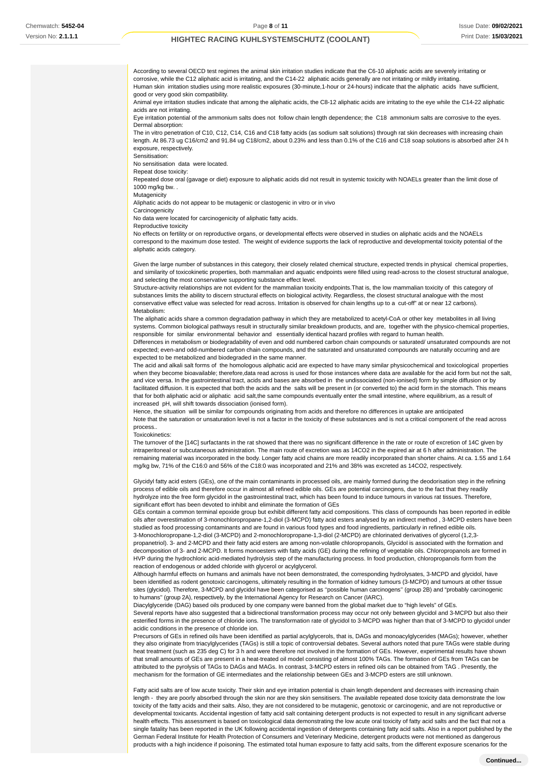According to several OECD test regimes the animal skin irritation studies indicate that the C6-10 aliphatic acids are severely irritating or corrosive, while the C12 aliphatic acid is irritating, and the C14-22 aliphatic acids generally are not irritating or mildly irritating. Human skin irritation studies using more realistic exposures (30-minute,1-hour or 24-hours) indicate that the aliphatic acids have sufficient, good or very good skin compatibility. Animal eye irritation studies indicate that among the aliphatic acids, the C8-12 aliphatic acids are irritating to the eye while the C14-22 aliphatic acids are not irritating.

Eye irritation potential of the ammonium salts does not follow chain length dependence; the C18 ammonium salts are corrosive to the eyes. Dermal absorption:

The in vitro penetration of C10, C12, C14, C16 and C18 fatty acids (as sodium salt solutions) through rat skin decreases with increasing chain length. At 86.73 ug C16/cm2 and 91.84 ug C18/cm2, about 0.23% and less than 0.1% of the C16 and C18 soap solutions is absorbed after 24 h exposure, respectively.

Sensitisation:

No sensitisation data were located.

Repeat dose toxicity:

Repeated dose oral (gavage or diet) exposure to aliphatic acids did not result in systemic toxicity with NOAELs greater than the limit dose of 1000 mg/kg bw. .

Mutagenicity

Aliphatic acids do not appear to be mutagenic or clastogenic in vitro or in vivo

**Carcinogenicity** 

No data were located for carcinogenicity of aliphatic fatty acids.

Reproductive toxicity

No effects on fertility or on reproductive organs, or developmental effects were observed in studies on aliphatic acids and the NOAELs correspond to the maximum dose tested. The weight of evidence supports the lack of reproductive and developmental toxicity potential of the aliphatic acids category.

Given the large number of substances in this category, their closely related chemical structure, expected trends in physical chemical properties, and similarity of toxicokinetic properties, both mammalian and aquatic endpoints were filled using read-across to the closest structural analogue, and selecting the most conservative supporting substance effect level.

Structure-activity relationships are not evident for the mammalian toxicity endpoints.That is, the low mammalian toxicity of this category of substances limits the ability to discern structural effects on biological activity. Regardless, the closest structural analogue with the most conservative effect value was selected for read across. Irritation is observed for chain lengths up to a cut-off" at or near 12 carbons). Metabolism:

The aliphatic acids share a common degradation pathway in which they are metabolized to acetyl-CoA or other key metabolites in all living systems. Common biological pathways result in structurally similar breakdown products, and are, together with the physico-chemical properties, responsible for similar environmental behavior and essentially identical hazard profiles with regard to human health.

Differences in metabolism or biodegradability of even and odd numbered carbon chain compounds or saturated/ unsaturated compounds are not expected; even-and odd-numbered carbon chain compounds, and the saturated and unsaturated compounds are naturally occurring and are expected to be metabolized and biodegraded in the same manner.

The acid and alkali salt forms of the homologous aliphatic acid are expected to have many similar physicochemical and toxicological properties when they become bioavailable; therefore,data read across is used for those instances where data are available for the acid form but not the salt, and vice versa. In the gastrointestinal tract, acids and bases are absorbed in the undissociated (non-ionised) form by simple diffusion or by facilitated diffusion. It is expected that both the acids and the salts will be present in (or converted to) the acid form in the stomach. This means that for both aliphatic acid or aliphatic acid salt,the same compounds eventually enter the small intestine, where equilibrium, as a result of increased pH, will shift towards dissociation (ionised form).

Hence, the situation will be similar for compounds originating from acids and therefore no differences in uptake are anticipated Note that the saturation or unsaturation level is not a factor in the toxicity of these substances and is not a critical component of the read across process..

### Toxicokinetics:

The turnover of the [14C] surfactants in the rat showed that there was no significant difference in the rate or route of excretion of 14C given by intraperitoneal or subcutaneous administration. The main route of excretion was as 14CO2 in the expired air at 6 h after administration. The remaining material was incorporated in the body. Longer fatty acid chains are more readily incorporated than shorter chains. At ca. 1.55 and 1.64 mg/kg bw, 71% of the C16:0 and 56% of the C18:0 was incorporated and 21% and 38% was excreted as 14CO2, respectively.

Glycidyl fatty acid esters (GEs), one of the main contaminants in processed oils, are mainly formed during the deodorisation step in the refining process of edible oils and therefore occur in almost all refined edible oils. GEs are potential carcinogens, due to the fact that they readily hydrolyze into the free form glycidol in the gastrointestinal tract, which has been found to induce tumours in various rat tissues. Therefore, significant effort has been devoted to inhibit and eliminate the formation of GEs

GEs contain a common terminal epoxide group but exhibit different fatty acid compositions. This class of compounds has been reported in edible oils after overestimation of 3-monochloropropane-1,2-diol (3-MCPD) fatty acid esters analysed by an indirect method , 3-MCPD esters have been studied as food processing contaminants and are found in various food types and food ingredients, particularly in refined edible oils. 3-Monochloropropane-1,2-diol (3-MCPD) and 2-monochloropropane-1,3-diol (2-MCPD) are chlorinated derivatives of glycerol (1,2,3-

propanetriol). 3- and 2-MCPD and their fatty acid esters are among non-volatile chloropropanols, Glycidol is associated with the formation and decomposition of 3- and 2-MCPD. It forms monoesters with fatty acids (GE) during the refining of vegetable oils. Chloropropanols are formed in HVP during the hydrochloric acid-mediated hydrolysis step of the manufacturing process. In food production, chloropropanols form from the reaction of endogenous or added chloride with glycerol or acylglycerol.

Although harmful effects on humans and animals have not been demonstrated, the corresponding hydrolysates, 3-MCPD and glycidol, have been identified as rodent genotoxic carcinogens, ultimately resulting in the formation of kidney tumours (3-MCPD) and tumours at other tissue sites (glycidol). Therefore, 3-MCPD and glycidol have been categorised as ''possible human carcinogens'' (group 2B) and "probably carcinogenic to humans'' (group 2A), respectively, by the International Agency for Research on Cancer (IARC).

Diacylglyceride (DAG) based oils produced by one company were banned from the global market due to "high levels" of GEs. Several reports have also suggested that a bidirectional transformation process may occur not only between glycidol and 3-MCPD but also their esterified forms in the presence of chloride ions. The transformation rate of glycidol to 3-MCPD was higher than that of 3-MCPD to glycidol under acidic conditions in the presence of chloride ion.

Precursors of GEs in refined oils have been identified as partial acylglycerols, that is, DAGs and monoacylglycerides (MAGs); however, whether they also originate from triacylglycerides (TAGs) is still a topic of controversial debates. Several authors noted that pure TAGs were stable during heat treatment (such as 235 deg C) for 3 h and were therefore not involved in the formation of GEs. However, experimental results have shown that small amounts of GEs are present in a heat-treated oil model consisting of almost 100% TAGs. The formation of GEs from TAGs can be attributed to the pyrolysis of TAGs to DAGs and MAGs. In contrast, 3-MCPD esters in refined oils can be obtained from TAG . Presently, the mechanism for the formation of GE intermediates and the relationship between GEs and 3-MCPD esters are still unknown.

Fatty acid salts are of low acute toxicity. Their skin and eye irritation potential is chain length dependent and decreases with increasing chain length - they are poorly absorbed through the skin nor are they skin sensitisers. The available repeated dose toxicity data demonstrate the low toxicity of the fatty acids and their salts. Also, they are not considered to be mutagenic, genotoxic or carcinogenic, and are not reproductive or developmental toxicants. Accidental ingestion of fatty acid salt containing detergent products is not expected to result in any significant adverse health effects. This assessment is based on toxicological data demonstrating the low acute oral toxicity of fatty acid salts and the fact that not a single fatality has been reported in the UK following accidental ingestion of detergents containing fatty acid salts. Also in a report published by the German Federal Institute for Health Protection of Consumers and Veterinary Medicine, detergent products were not mentioned as dangerous products with a high incidence if poisoning. The estimated total human exposure to fatty acid salts, from the different exposure scenarios for the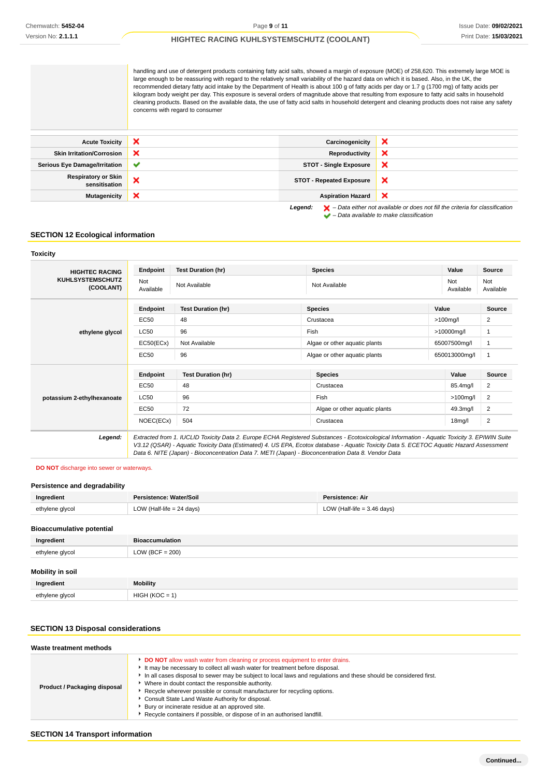handling and use of detergent products containing fatty acid salts, showed a margin of exposure (MOE) of 258,620. This extremely large MOE is large enough to be reassuring with regard to the relatively small variability of the hazard data on which it is based. Also, in the UK, the recommended dietary fatty acid intake by the Department of Health is about 100 g of fatty acids per day or 1.7 g (1700 mg) of fatty acids per kilogram body weight per day. This exposure is several orders of magnitude above that resulting from exposure to fatty acid salts in household cleaning products. Based on the available data, the use of fatty acid salts in household detergent and cleaning products does not raise any safety concerns with regard to consumer

| <b>Acute Toxicity</b>                       | ×            | Carcinogenicity                 | ×                                                                                                                                             |
|---------------------------------------------|--------------|---------------------------------|-----------------------------------------------------------------------------------------------------------------------------------------------|
| <b>Skin Irritation/Corrosion</b>            | ×            | Reproductivity                  | ×                                                                                                                                             |
| <b>Serious Eye Damage/Irritation</b>        | $\checkmark$ | <b>STOT - Single Exposure</b>   | ×                                                                                                                                             |
| <b>Respiratory or Skin</b><br>sensitisation | ×            | <b>STOT - Repeated Exposure</b> | ×                                                                                                                                             |
| <b>Mutagenicity</b>                         | ×            | <b>Aspiration Hazard</b>        | ×                                                                                                                                             |
|                                             |              | Legend:                         | $\blacktriangleright$ - Data either not available or does not fill the criteria for classification<br>- Data available to make classification |

### **SECTION 12 Ecological information**

### **Toxicity HIGHTEC RACING KUHLSYSTEMSCHUTZ (COOLANT) Endpoint Test Duration (hr) Species Value Source** Not Not Not Not Available Not Available Not Available Not Available Not Available Not Available Not Ava Available Not Available **ethylene glycol Endpoint Test Duration (hr) Species Value Source**  $EC50$  48  $\qquad$  2 LC50 96 Fish >10000mg/l 1 EC50(ECx) Not Available Algae or other aquatic plants 65007500mg/l 1 EC50 96 BEC50 96 Algae or other aquatic plants 650013000mg/l 1 **potassium 2-ethylhexanoate Endpoint Test Duration (hr) Species Value Source** EC50 48 Crustacea Crustacea 85.4mg/l 2  $\sim$  LC50 96 96 Fish  $\sim$  Fish  $\sim$  2100mg/l 2 EC50 72 Algae or other aquatic plants 49.3mg/l 2 NOEC(ECx) 504 Crustacea 2008 Crustacea 2008 18mg/l 2 **Legend:** Extracted from 1. IUCLID Toxicity Data 2. Europe ECHA Registered Substances - Ecotoxicological Information - Aquatic Toxicity 3. EPIWIN Suite V3.12 (QSAR) - Aquatic Toxicity Data (Estimated) 4. US EPA, Ecotox database - Aquatic Toxicity Data 5. ECETOC Aquatic Hazard Assessment Data 6. NITE (Japan) - Bioconcentration Data 7. METI (Japan) - Bioconcentration Data 8. Vendor Data

## **DO NOT** discharge into sewer or waterways.

### **Persistence and degradability**

| Ingredient                       | Persistence: Water/Soil     | Persistence: Air              |
|----------------------------------|-----------------------------|-------------------------------|
| ethylene glycol                  | LOW (Half-life $= 24$ days) | LOW (Half-life $=$ 3.46 days) |
| <b>Bioaccumulative potential</b> |                             |                               |
| Ingredient                       | <b>Bioaccumulation</b>      |                               |

| $\cdot$          |                    |
|------------------|--------------------|
| ethylene glycol  | LOW (BCF = $200$ ) |
|                  |                    |
| Mobility in soil |                    |
| Ingredient       | <b>Mobility</b>    |
| ethylene glycol  | $HIGH (KOC = 1)$   |
|                  |                    |

### **SECTION 13 Disposal considerations**

| Waste treatment methods      |                                                                                                                                                                                                                                                                                                                                                                                                                                                                                                                                                                                                      |
|------------------------------|------------------------------------------------------------------------------------------------------------------------------------------------------------------------------------------------------------------------------------------------------------------------------------------------------------------------------------------------------------------------------------------------------------------------------------------------------------------------------------------------------------------------------------------------------------------------------------------------------|
| Product / Packaging disposal | DO NOT allow wash water from cleaning or process equipment to enter drains.<br>It may be necessary to collect all wash water for treatment before disposal.<br>In all cases disposal to sewer may be subject to local laws and regulations and these should be considered first.<br>Where in doubt contact the responsible authority.<br>Recycle wherever possible or consult manufacturer for recycling options.<br>Consult State Land Waste Authority for disposal.<br>Bury or incinerate residue at an approved site.<br>Recycle containers if possible, or dispose of in an authorised landfill. |

### **SECTION 14 Transport information**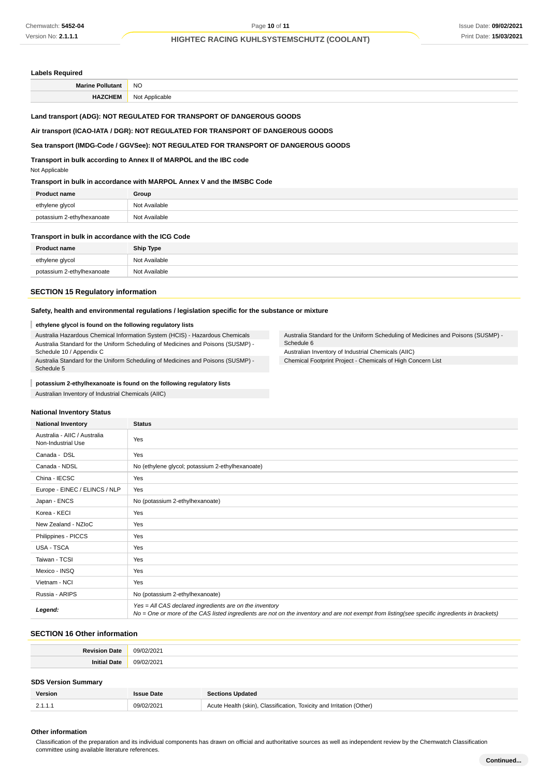### **Labels Required**

| -- | <b>NO</b>               |
|----|-------------------------|
|    | ∖l∩t<br>Annlicable<br>v |

# **Land transport (ADG): NOT REGULATED FOR TRANSPORT OF DANGEROUS GOODS**

## **Air transport (ICAO-IATA / DGR): NOT REGULATED FOR TRANSPORT OF DANGEROUS GOODS**

# **Sea transport (IMDG-Code / GGVSee): NOT REGULATED FOR TRANSPORT OF DANGEROUS GOODS**

**Transport in bulk according to Annex II of MARPOL and the IBC code**

Not Applicable

### **Transport in bulk in accordance with MARPOL Annex V and the IMSBC Code**

| <b>Product name</b>        | Group         |
|----------------------------|---------------|
| ethylene glycol            | Not Available |
| potassium 2-ethylhexanoate | Not Available |

### **Transport in bulk in accordance with the ICG Code**

| <b>Product name</b>        | <b>Ship Type</b> |
|----------------------------|------------------|
| ethylene glycol            | Not Available    |
| potassium 2-ethylhexanoate | Not Available    |

Schedule 6

Australia Standard for the Uniform Scheduling of Medicines and Poisons (SUSMP) -

Australian Inventory of Industrial Chemicals (AIIC) Chemical Footprint Project - Chemicals of High Concern List

### **SECTION 15 Regulatory information**

# **Safety, health and environmental regulations / legislation specific for the substance or mixture**

### **ethylene glycol is found on the following regulatory lists**

Australia Hazardous Chemical Information System (HCIS) - Hazardous Chemicals Australia Standard for the Uniform Scheduling of Medicines and Poisons (SUSMP) - Schedule 10 / Appendix C

Australia Standard for the Uniform Scheduling of Medicines and Poisons (SUSMP) - Schedule 5

#### **potassium 2-ethylhexanoate is found on the following regulatory lists** I

Australian Inventory of Industrial Chemicals (AIIC)

### **National Inventory Status**

| <b>National Inventory</b>                          | <b>Status</b>                                                                                                                                                                                            |
|----------------------------------------------------|----------------------------------------------------------------------------------------------------------------------------------------------------------------------------------------------------------|
| Australia - AIIC / Australia<br>Non-Industrial Use | Yes                                                                                                                                                                                                      |
| Canada - DSL                                       | Yes                                                                                                                                                                                                      |
| Canada - NDSL                                      | No (ethylene glycol; potassium 2-ethylhexanoate)                                                                                                                                                         |
| China - IECSC                                      | Yes                                                                                                                                                                                                      |
| Europe - EINEC / ELINCS / NLP                      | Yes                                                                                                                                                                                                      |
| Japan - ENCS                                       | No (potassium 2-ethylhexanoate)                                                                                                                                                                          |
| Korea - KECI                                       | Yes                                                                                                                                                                                                      |
| New Zealand - NZIoC                                | Yes                                                                                                                                                                                                      |
| Philippines - PICCS                                | Yes                                                                                                                                                                                                      |
| USA - TSCA                                         | Yes                                                                                                                                                                                                      |
| Taiwan - TCSI                                      | Yes                                                                                                                                                                                                      |
| Mexico - INSQ                                      | Yes                                                                                                                                                                                                      |
| Vietnam - NCI                                      | Yes                                                                                                                                                                                                      |
| Russia - ARIPS                                     | No (potassium 2-ethylhexanoate)                                                                                                                                                                          |
| Legend:                                            | Yes = All CAS declared ingredients are on the inventory<br>No = One or more of the CAS listed ingredients are not on the inventory and are not exempt from listing(see specific ingredients in brackets) |

### **SECTION 16 Other information**

| 0 <sup>11</sup> |
|-----------------|
|                 |

### **SDS Version Summary**

| <b>Version</b> | <b>Issue Date</b> | <b>Sections Updated</b>                                              |
|----------------|-------------------|----------------------------------------------------------------------|
| 2.1.1.1        | 09/02/2021        | Acute Health (skin), Classification, Toxicity and Irritation (Other) |

### **Other information**

Classification of the preparation and its individual components has drawn on official and authoritative sources as well as independent review by the Chemwatch Classification committee using available literature references.